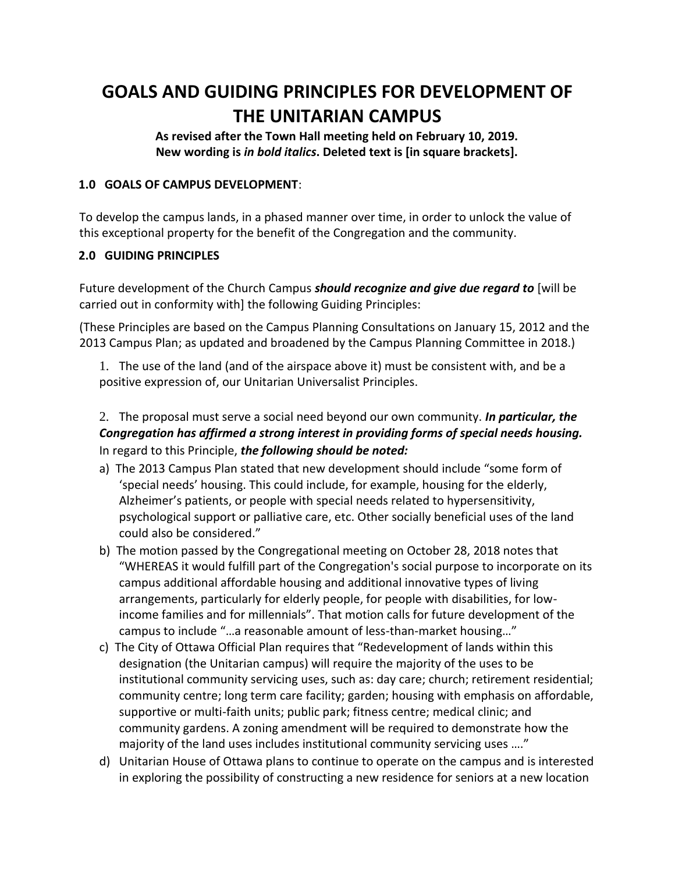# **GOALS AND GUIDING PRINCIPLES FOR DEVELOPMENT OF THE UNITARIAN CAMPUS**

**As revised after the Town Hall meeting held on February 10, 2019. New wording is** *in bold italics***. Deleted text is [in square brackets].**

### **1.0 GOALS OF CAMPUS DEVELOPMENT**:

To develop the campus lands, in a phased manner over time, in order to unlock the value of this exceptional property for the benefit of the Congregation and the community.

### **2.0 GUIDING PRINCIPLES**

Future development of the Church Campus *should recognize and give due regard to* [will be carried out in conformity with] the following Guiding Principles:

(These Principles are based on the Campus Planning Consultations on January 15, 2012 and the 2013 Campus Plan; as updated and broadened by the Campus Planning Committee in 2018.)

1. The use of the land (and of the airspace above it) must be consistent with, and be a positive expression of, our Unitarian Universalist Principles.

## 2. The proposal must serve a social need beyond our own community. *In particular, the Congregation has affirmed a strong interest in providing forms of special needs housing.*  In regard to this Principle, *the following should be noted:*

- a) The 2013 Campus Plan stated that new development should include "some form of 'special needs' housing. This could include, for example, housing for the elderly, Alzheimer's patients, or people with special needs related to hypersensitivity, psychological support or palliative care, etc. Other socially beneficial uses of the land could also be considered."
- b) The motion passed by the Congregational meeting on October 28, 2018 notes that "WHEREAS it would fulfill part of the Congregation's social purpose to incorporate on its campus additional affordable housing and additional innovative types of living arrangements, particularly for elderly people, for people with disabilities, for lowincome families and for millennials". That motion calls for future development of the campus to include "…a reasonable amount of less-than-market housing…"
- c) The City of Ottawa Official Plan requires that "Redevelopment of lands within this designation (the Unitarian campus) will require the majority of the uses to be institutional community servicing uses, such as: day care; church; retirement residential; community centre; long term care facility; garden; housing with emphasis on affordable, supportive or multi-faith units; public park; fitness centre; medical clinic; and community gardens. A zoning amendment will be required to demonstrate how the majority of the land uses includes institutional community servicing uses …."
- d) Unitarian House of Ottawa plans to continue to operate on the campus and is interested in exploring the possibility of constructing a new residence for seniors at a new location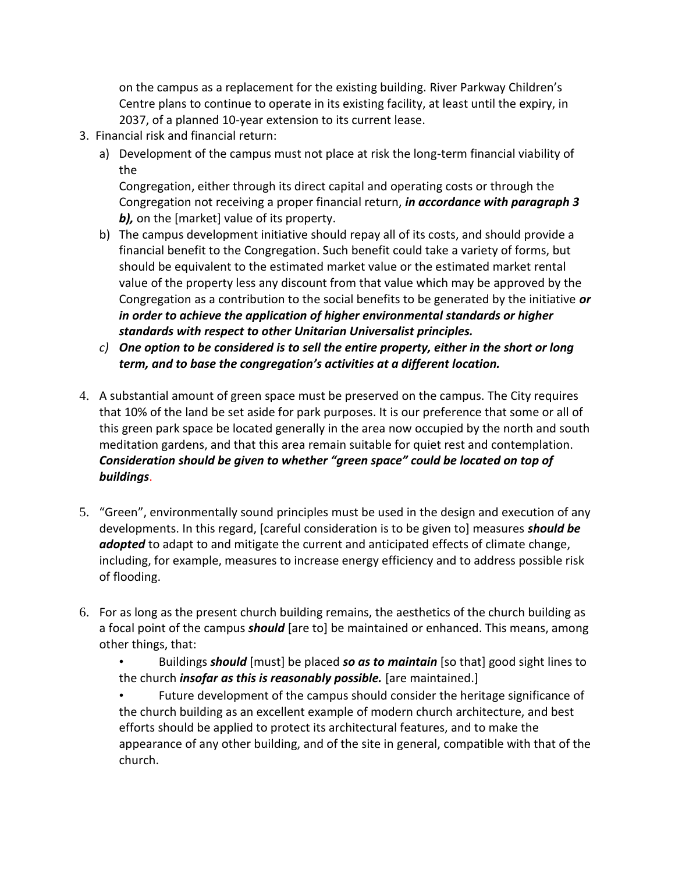on the campus as a replacement for the existing building. River Parkway Children's Centre plans to continue to operate in its existing facility, at least until the expiry, in 2037, of a planned 10-year extension to its current lease.

- 3. Financial risk and financial return:
	- a) Development of the campus must not place at risk the long-term financial viability of the

Congregation, either through its direct capital and operating costs or through the Congregation not receiving a proper financial return, *in accordance with paragraph 3 b),* on the [market] value of its property.

- b) The campus development initiative should repay all of its costs, and should provide a financial benefit to the Congregation. Such benefit could take a variety of forms, but should be equivalent to the estimated market value or the estimated market rental value of the property less any discount from that value which may be approved by the Congregation as a contribution to the social benefits to be generated by the initiative *or in order to achieve the application of higher environmental standards or higher standards with respect to other Unitarian Universalist principles.*
- *c) One option to be considered is to sell the entire property, either in the short or long term, and to base the congregation's activities at a different location.*
- 4. A substantial amount of green space must be preserved on the campus. The City requires that 10% of the land be set aside for park purposes. It is our preference that some or all of this green park space be located generally in the area now occupied by the north and south meditation gardens, and that this area remain suitable for quiet rest and contemplation. *Consideration should be given to whether "green space" could be located on top of buildings*.
- 5. "Green", environmentally sound principles must be used in the design and execution of any developments. In this regard, [careful consideration is to be given to] measures *should be*  adopted to adapt to and mitigate the current and anticipated effects of climate change, including, for example, measures to increase energy efficiency and to address possible risk of flooding.
- 6. For as long as the present church building remains, the aesthetics of the church building as a focal point of the campus *should* [are to] be maintained or enhanced. This means, among other things, that:
	- Buildings *should* [must] be placed *so as to maintain* [so that] good sight lines to the church *insofar as this is reasonably possible.* [are maintained.]

• Future development of the campus should consider the heritage significance of the church building as an excellent example of modern church architecture, and best efforts should be applied to protect its architectural features, and to make the appearance of any other building, and of the site in general, compatible with that of the church.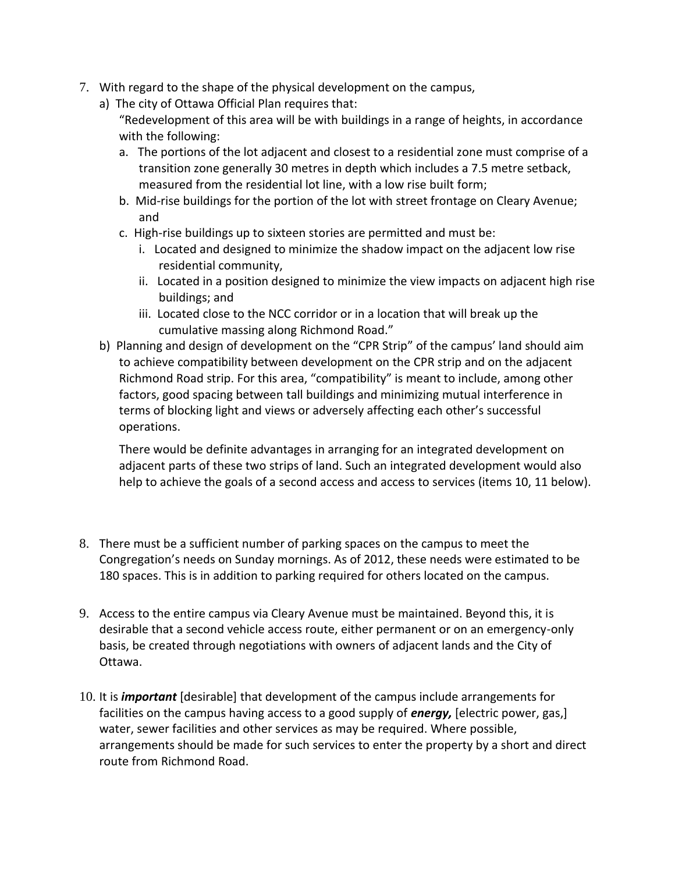- 7. With regard to the shape of the physical development on the campus,
	- a) The city of Ottawa Official Plan requires that:
		- "Redevelopment of this area will be with buildings in a range of heights, in accordance with the following:
		- a. The portions of the lot adjacent and closest to a residential zone must comprise of a transition zone generally 30 metres in depth which includes a 7.5 metre setback, measured from the residential lot line, with a low rise built form;
		- b. Mid-rise buildings for the portion of the lot with street frontage on Cleary Avenue; and
		- c. High-rise buildings up to sixteen stories are permitted and must be:
			- i. Located and designed to minimize the shadow impact on the adjacent low rise residential community,
			- ii. Located in a position designed to minimize the view impacts on adjacent high rise buildings; and
			- iii. Located close to the NCC corridor or in a location that will break up the cumulative massing along Richmond Road."
	- b) Planning and design of development on the "CPR Strip" of the campus' land should aim to achieve compatibility between development on the CPR strip and on the adjacent Richmond Road strip. For this area, "compatibility" is meant to include, among other factors, good spacing between tall buildings and minimizing mutual interference in terms of blocking light and views or adversely affecting each other's successful operations.

There would be definite advantages in arranging for an integrated development on adjacent parts of these two strips of land. Such an integrated development would also help to achieve the goals of a second access and access to services (items 10, 11 below).

- 8. There must be a sufficient number of parking spaces on the campus to meet the Congregation's needs on Sunday mornings. As of 2012, these needs were estimated to be 180 spaces. This is in addition to parking required for others located on the campus.
- 9. Access to the entire campus via Cleary Avenue must be maintained. Beyond this, it is desirable that a second vehicle access route, either permanent or on an emergency-only basis, be created through negotiations with owners of adjacent lands and the City of Ottawa.
- 10. It is *important* [desirable] that development of the campus include arrangements for facilities on the campus having access to a good supply of *energy,* [electric power, gas,] water, sewer facilities and other services as may be required. Where possible, arrangements should be made for such services to enter the property by a short and direct route from Richmond Road.